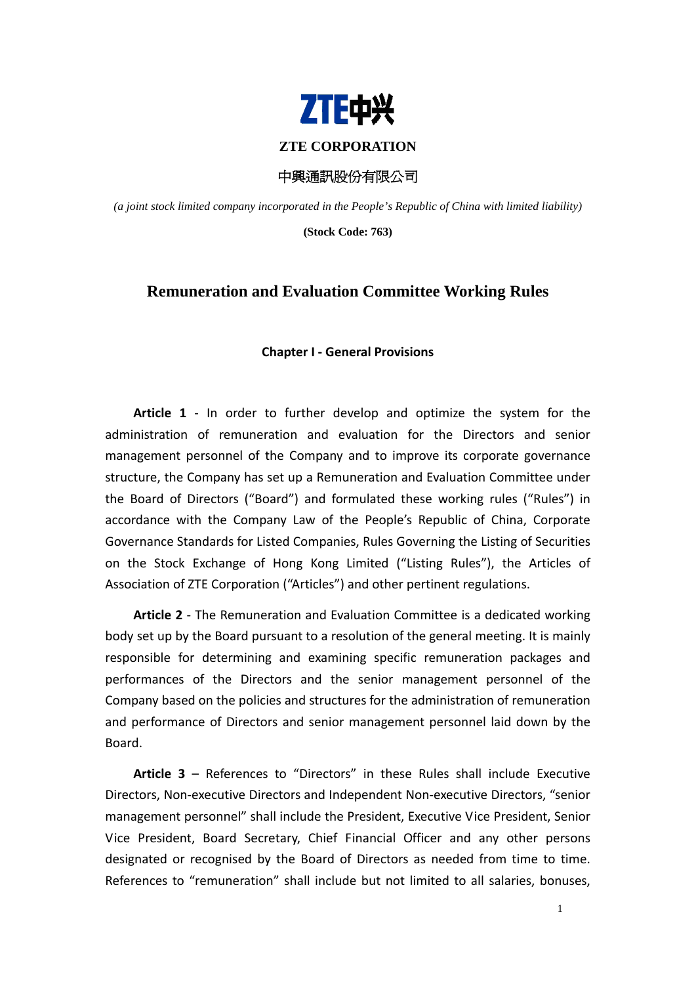

# **ZTE CORPORATION**

中興通訊股份有限公司

*(a joint stock limited company incorporated in the People's Republic of China with limited liability)* 

**(Stock Code: 763)** 

# **Remuneration and Evaluation Committee Working Rules**

### **Chapter I ‐ General Provisions**

**Article 1** ‐ In order to further develop and optimize the system for the administration of remuneration and evaluation for the Directors and senior management personnel of the Company and to improve its corporate governance structure, the Company has set up a Remuneration and Evaluation Committee under the Board of Directors ("Board") and formulated these working rules ("Rules") in accordance with the Company Law of the People's Republic of China, Corporate Governance Standards for Listed Companies, Rules Governing the Listing of Securities on the Stock Exchange of Hong Kong Limited ("Listing Rules"), the Articles of Association of ZTE Corporation ("Articles") and other pertinent regulations.

**Article 2** ‐ The Remuneration and Evaluation Committee is a dedicated working body set up by the Board pursuant to a resolution of the general meeting. It is mainly responsible for determining and examining specific remuneration packages and performances of the Directors and the senior management personnel of the Company based on the policies and structures for the administration of remuneration and performance of Directors and senior management personnel laid down by the Board.

**Article 3** – References to "Directors" in these Rules shall include Executive Directors, Non‐executive Directors and Independent Non‐executive Directors, "senior management personnel" shall include the President, Executive Vice President, Senior Vice President, Board Secretary, Chief Financial Officer and any other persons designated or recognised by the Board of Directors as needed from time to time. References to "remuneration" shall include but not limited to all salaries, bonuses,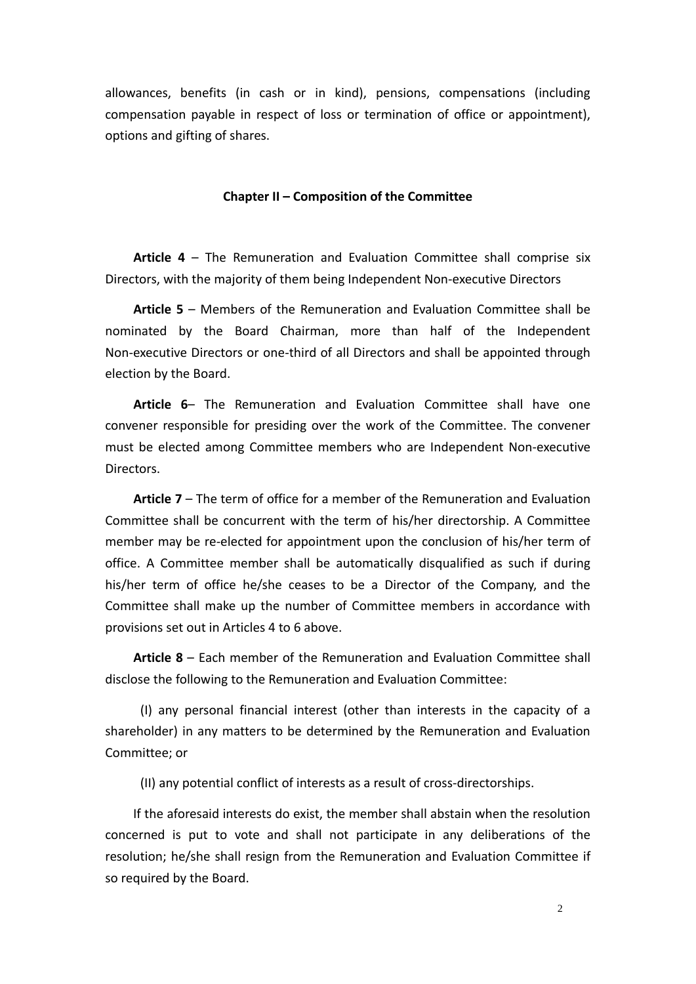allowances, benefits (in cash or in kind), pensions, compensations (including compensation payable in respect of loss or termination of office or appointment), options and gifting of shares.

# **Chapter II – Composition of the Committee**

**Article 4** – The Remuneration and Evaluation Committee shall comprise six Directors, with the majority of them being Independent Non‐executive Directors

**Article 5** – Members of the Remuneration and Evaluation Committee shall be nominated by the Board Chairman, more than half of the Independent Non‐executive Directors or one‐third of all Directors and shall be appointed through election by the Board.

**Article 6**– The Remuneration and Evaluation Committee shall have one convener responsible for presiding over the work of the Committee. The convener must be elected among Committee members who are Independent Non‐executive Directors.

**Article 7** – The term of office for a member of the Remuneration and Evaluation Committee shall be concurrent with the term of his/her directorship. A Committee member may be re-elected for appointment upon the conclusion of his/her term of office. A Committee member shall be automatically disqualified as such if during his/her term of office he/she ceases to be a Director of the Company, and the Committee shall make up the number of Committee members in accordance with provisions set out in Articles 4 to 6 above.

**Article 8** – Each member of the Remuneration and Evaluation Committee shall disclose the following to the Remuneration and Evaluation Committee:

(I) any personal financial interest (other than interests in the capacity of a shareholder) in any matters to be determined by the Remuneration and Evaluation Committee; or

(II) any potential conflict of interests as a result of cross‐directorships.

If the aforesaid interests do exist, the member shall abstain when the resolution concerned is put to vote and shall not participate in any deliberations of the resolution; he/she shall resign from the Remuneration and Evaluation Committee if so required by the Board.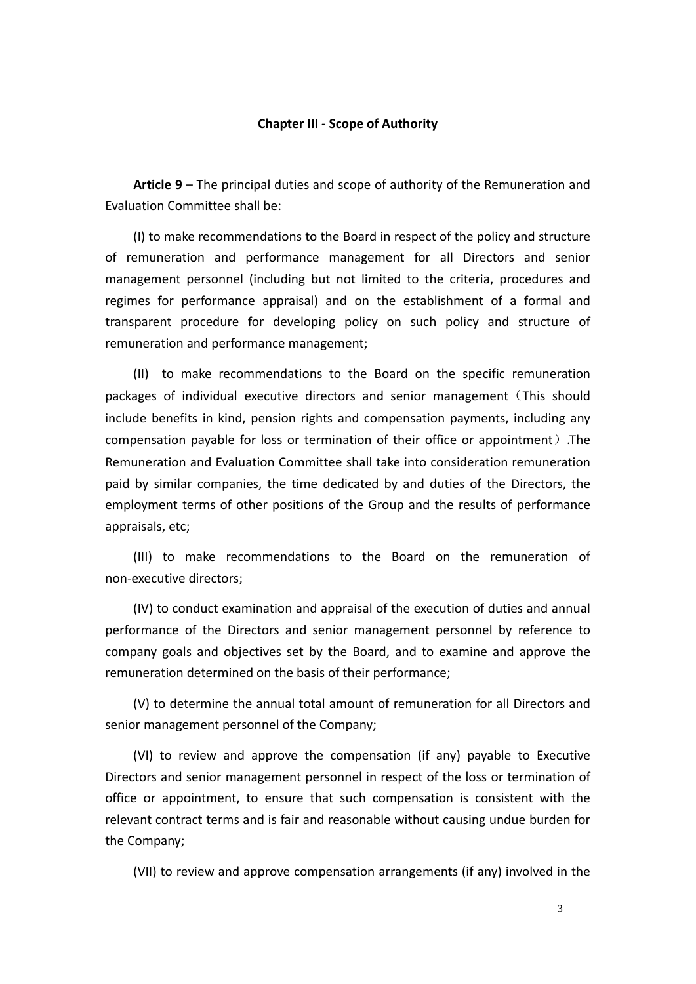#### **Chapter III ‐ Scope of Authority**

**Article 9** – The principal duties and scope of authority of the Remuneration and Evaluation Committee shall be:

(I) to make recommendations to the Board in respect of the policy and structure of remuneration and performance management for all Directors and senior management personnel (including but not limited to the criteria, procedures and regimes for performance appraisal) and on the establishment of a formal and transparent procedure for developing policy on such policy and structure of remuneration and performance management;

(II) to make recommendations to the Board on the specific remuneration packages of individual executive directors and senior management(This should include benefits in kind, pension rights and compensation payments, including any compensation payable for loss or termination of their office or appointment).The Remuneration and Evaluation Committee shall take into consideration remuneration paid by similar companies, the time dedicated by and duties of the Directors, the employment terms of other positions of the Group and the results of performance appraisals, etc;

(III) to make recommendations to the Board on the remuneration of non‐executive directors;

(IV) to conduct examination and appraisal of the execution of duties and annual performance of the Directors and senior management personnel by reference to company goals and objectives set by the Board, and to examine and approve the remuneration determined on the basis of their performance;

(V) to determine the annual total amount of remuneration for all Directors and senior management personnel of the Company;

(VI) to review and approve the compensation (if any) payable to Executive Directors and senior management personnel in respect of the loss or termination of office or appointment, to ensure that such compensation is consistent with the relevant contract terms and is fair and reasonable without causing undue burden for the Company;

(VII) to review and approve compensation arrangements (if any) involved in the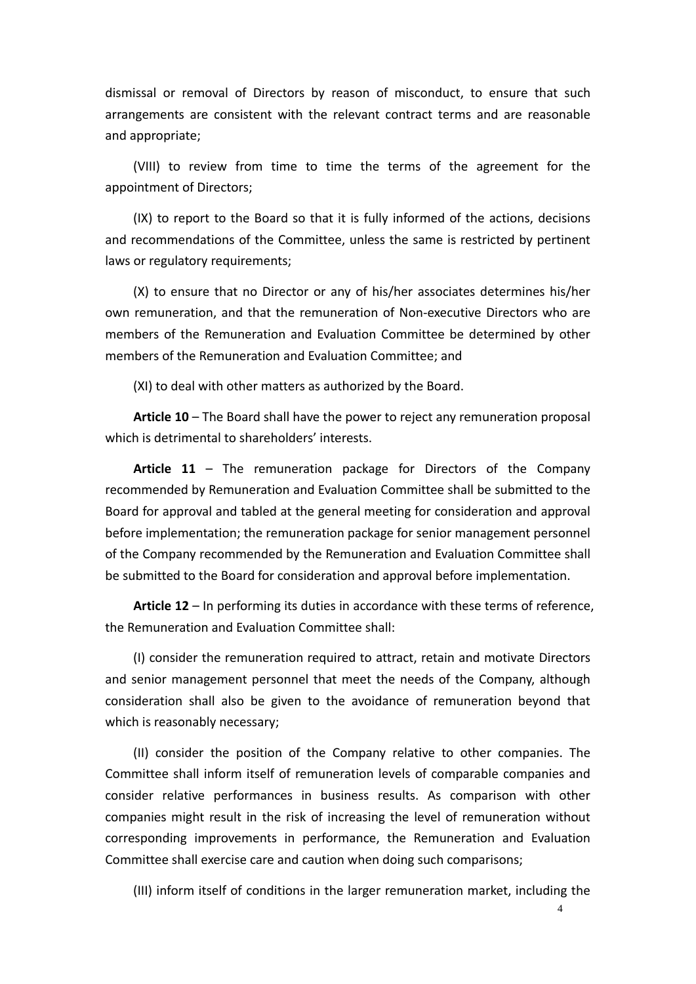dismissal or removal of Directors by reason of misconduct, to ensure that such arrangements are consistent with the relevant contract terms and are reasonable and appropriate;

(VIII) to review from time to time the terms of the agreement for the appointment of Directors;

(IX) to report to the Board so that it is fully informed of the actions, decisions and recommendations of the Committee, unless the same is restricted by pertinent laws or regulatory requirements;

(X) to ensure that no Director or any of his/her associates determines his/her own remuneration, and that the remuneration of Non-executive Directors who are members of the Remuneration and Evaluation Committee be determined by other members of the Remuneration and Evaluation Committee; and

(XI) to deal with other matters as authorized by the Board.

**Article 10** – The Board shall have the power to reject any remuneration proposal which is detrimental to shareholders' interests.

**Article 11** – The remuneration package for Directors of the Company recommended by Remuneration and Evaluation Committee shall be submitted to the Board for approval and tabled at the general meeting for consideration and approval before implementation; the remuneration package for senior management personnel of the Company recommended by the Remuneration and Evaluation Committee shall be submitted to the Board for consideration and approval before implementation.

**Article 12** – In performing its duties in accordance with these terms of reference, the Remuneration and Evaluation Committee shall:

(I) consider the remuneration required to attract, retain and motivate Directors and senior management personnel that meet the needs of the Company, although consideration shall also be given to the avoidance of remuneration beyond that which is reasonably necessary;

(II) consider the position of the Company relative to other companies. The Committee shall inform itself of remuneration levels of comparable companies and consider relative performances in business results. As comparison with other companies might result in the risk of increasing the level of remuneration without corresponding improvements in performance, the Remuneration and Evaluation Committee shall exercise care and caution when doing such comparisons;

(III) inform itself of conditions in the larger remuneration market, including the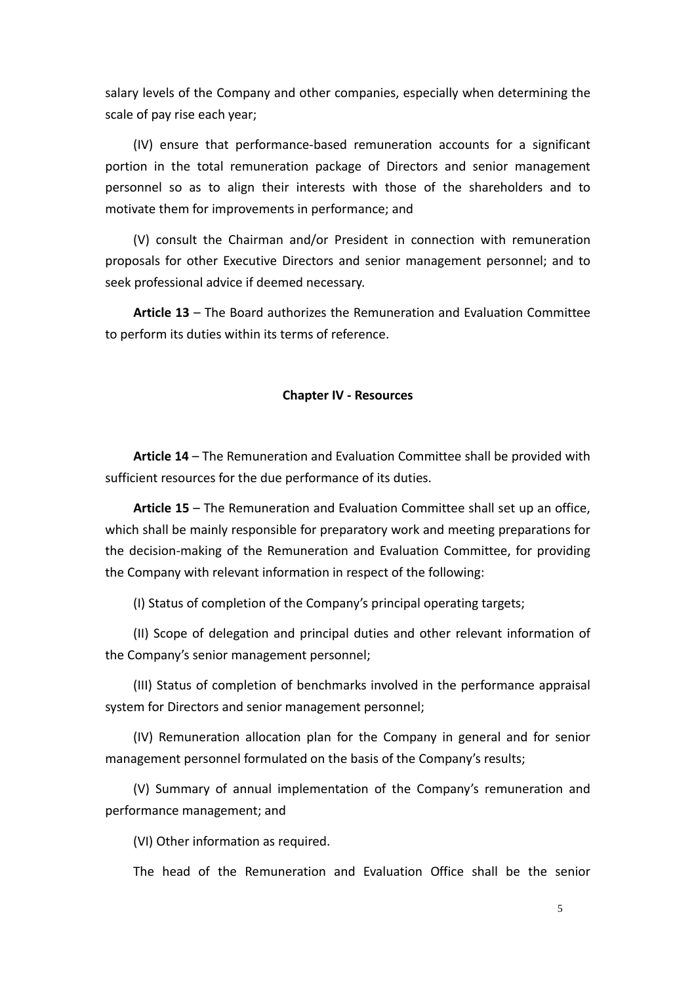salary levels of the Company and other companies, especially when determining the scale of pay rise each year;

(IV) ensure that performance‐based remuneration accounts for a significant portion in the total remuneration package of Directors and senior management personnel so as to align their interests with those of the shareholders and to motivate them for improvements in performance; and

(V) consult the Chairman and/or President in connection with remuneration proposals for other Executive Directors and senior management personnel; and to seek professional advice if deemed necessary.

**Article 13** – The Board authorizes the Remuneration and Evaluation Committee to perform its duties within its terms of reference.

#### **Chapter IV ‐ Resources**

**Article 14** – The Remuneration and Evaluation Committee shall be provided with sufficient resources for the due performance of its duties.

**Article 15** – The Remuneration and Evaluation Committee shall set up an office, which shall be mainly responsible for preparatory work and meeting preparations for the decision‐making of the Remuneration and Evaluation Committee, for providing the Company with relevant information in respect of the following:

(I) Status of completion of the Company's principal operating targets;

(II) Scope of delegation and principal duties and other relevant information of the Company's senior management personnel;

(III) Status of completion of benchmarks involved in the performance appraisal system for Directors and senior management personnel;

(IV) Remuneration allocation plan for the Company in general and for senior management personnel formulated on the basis of the Company's results;

(V) Summary of annual implementation of the Company's remuneration and performance management; and

(VI) Other information as required.

The head of the Remuneration and Evaluation Office shall be the senior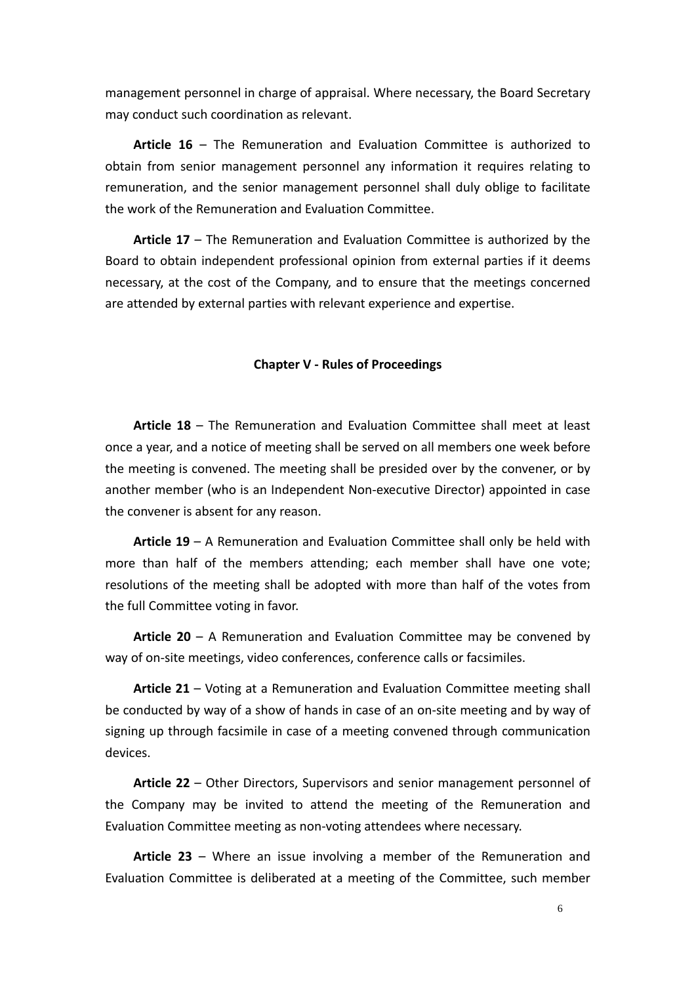management personnel in charge of appraisal. Where necessary, the Board Secretary may conduct such coordination as relevant.

**Article 16** – The Remuneration and Evaluation Committee is authorized to obtain from senior management personnel any information it requires relating to remuneration, and the senior management personnel shall duly oblige to facilitate the work of the Remuneration and Evaluation Committee.

**Article 17** – The Remuneration and Evaluation Committee is authorized by the Board to obtain independent professional opinion from external parties if it deems necessary, at the cost of the Company, and to ensure that the meetings concerned are attended by external parties with relevant experience and expertise.

## **Chapter V ‐ Rules of Proceedings**

**Article 18** – The Remuneration and Evaluation Committee shall meet at least once a year, and a notice of meeting shall be served on all members one week before the meeting is convened. The meeting shall be presided over by the convener, or by another member (who is an Independent Non‐executive Director) appointed in case the convener is absent for any reason.

**Article 19** – A Remuneration and Evaluation Committee shall only be held with more than half of the members attending; each member shall have one vote; resolutions of the meeting shall be adopted with more than half of the votes from the full Committee voting in favor.

**Article 20** – A Remuneration and Evaluation Committee may be convened by way of on-site meetings, video conferences, conference calls or facsimiles.

**Article 21** – Voting at a Remuneration and Evaluation Committee meeting shall be conducted by way of a show of hands in case of an on-site meeting and by way of signing up through facsimile in case of a meeting convened through communication devices.

**Article 22** – Other Directors, Supervisors and senior management personnel of the Company may be invited to attend the meeting of the Remuneration and Evaluation Committee meeting as non‐voting attendees where necessary.

**Article 23** – Where an issue involving a member of the Remuneration and Evaluation Committee is deliberated at a meeting of the Committee, such member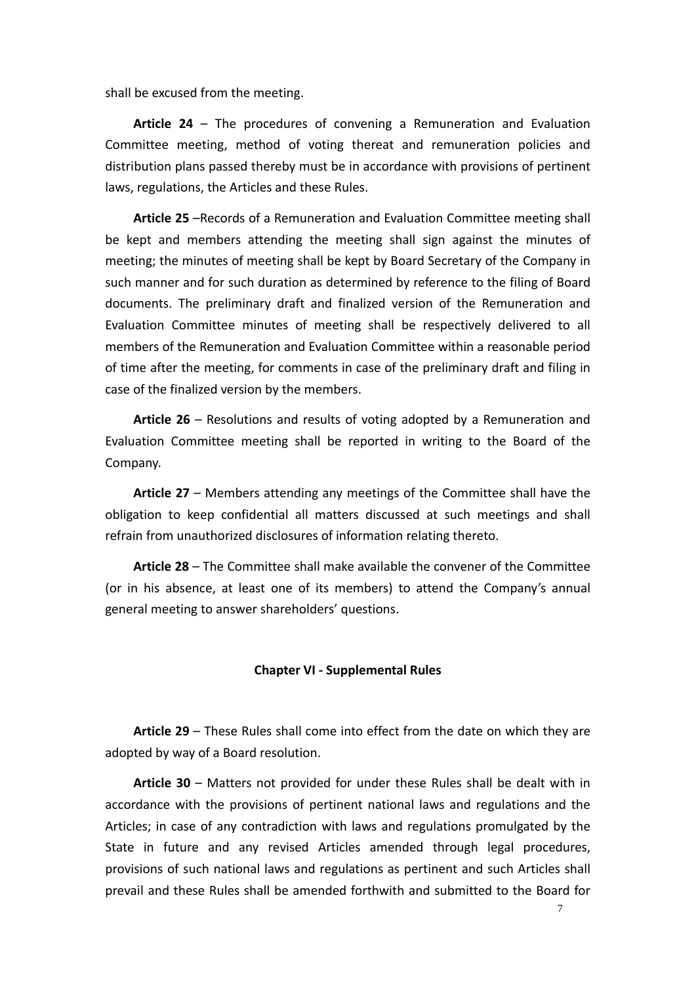shall be excused from the meeting.

**Article 24** – The procedures of convening a Remuneration and Evaluation Committee meeting, method of voting thereat and remuneration policies and distribution plans passed thereby must be in accordance with provisions of pertinent laws, regulations, the Articles and these Rules.

**Article 25** –Records of a Remuneration and Evaluation Committee meeting shall be kept and members attending the meeting shall sign against the minutes of meeting; the minutes of meeting shall be kept by Board Secretary of the Company in such manner and for such duration as determined by reference to the filing of Board documents. The preliminary draft and finalized version of the Remuneration and Evaluation Committee minutes of meeting shall be respectively delivered to all members of the Remuneration and Evaluation Committee within a reasonable period of time after the meeting, for comments in case of the preliminary draft and filing in case of the finalized version by the members.

**Article 26** – Resolutions and results of voting adopted by a Remuneration and Evaluation Committee meeting shall be reported in writing to the Board of the Company.

**Article 27** – Members attending any meetings of the Committee shall have the obligation to keep confidential all matters discussed at such meetings and shall refrain from unauthorized disclosures of information relating thereto.

**Article 28** – The Committee shall make available the convener of the Committee (or in his absence, at least one of its members) to attend the Company's annual general meeting to answer shareholders' questions.

## **Chapter VI ‐ Supplemental Rules**

**Article 29** – These Rules shall come into effect from the date on which they are adopted by way of a Board resolution.

**Article 30** – Matters not provided for under these Rules shall be dealt with in accordance with the provisions of pertinent national laws and regulations and the Articles; in case of any contradiction with laws and regulations promulgated by the State in future and any revised Articles amended through legal procedures, provisions of such national laws and regulations as pertinent and such Articles shall prevail and these Rules shall be amended forthwith and submitted to the Board for